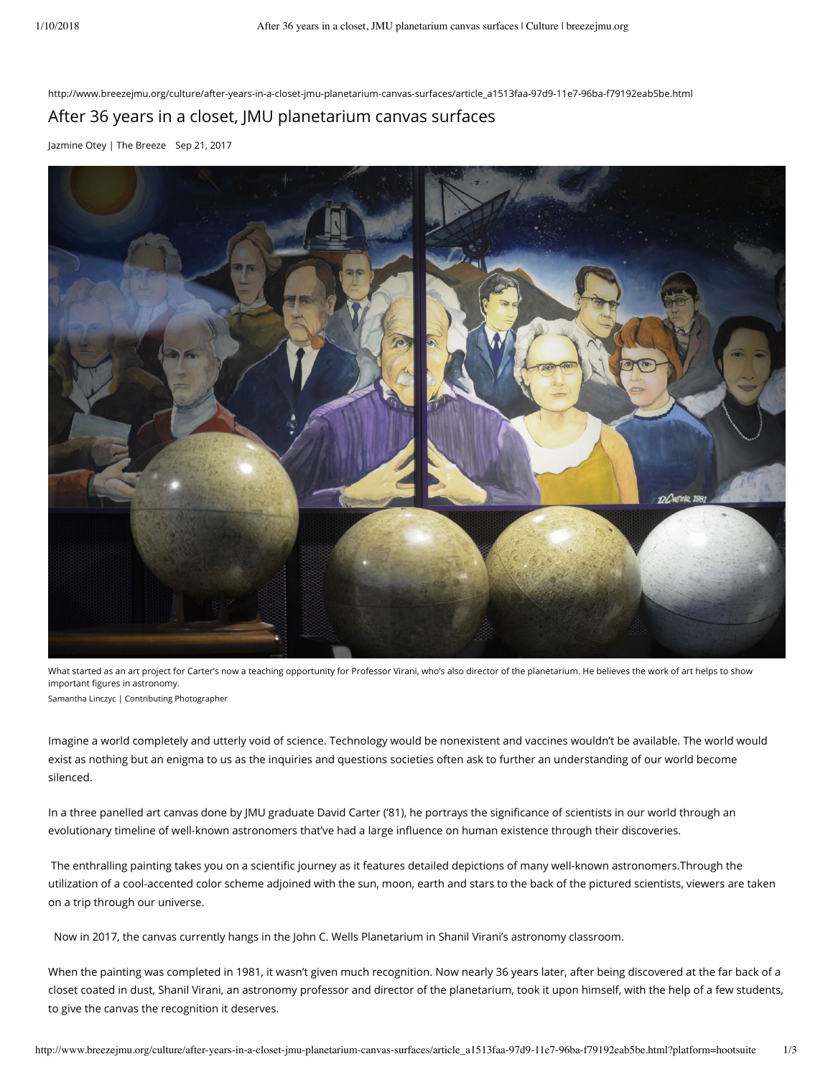http://www.breezejmu.org/culture/after-years-in-a-closet-jmu-planetarium-canvas-surfaces/article\_a1513faa-97d9-11e7-96ba-f79192eab5be.html

## After 36 years in a closet, JMU planetarium canvas surfaces

[Jazmine Otey | The Breeze](https://www.breezejmu.org/users/profile/Jazmine%20Otey) Sep 21, 2017



What started as an art project for Carter's now a teaching opportunity for Professor Virani, who's also director of the planetarium. He believes the work of art helps to show important figures in astronomy. Samantha Linczyc | Contributing Photographer

Imagine a world completely and utterly void of science. Technology would be nonexistent and vaccines wouldn't be available. The world would exist as nothing but an enigma to us as the inquiries and questions societies often ask to further an understanding of our world become silenced.

In a three panelled art canvas done by JMU graduate David Carter ('81), he portrays the significance of scientists in our world through an evolutionary timeline of well-known astronomers that've had a large influence on human existence through their discoveries.

The enthralling painting takes you on a scientific journey as it features detailed depictions of many well-known astronomers.Through the utilization of a cool-accented color scheme adjoined with the sun, moon, earth and stars to the back of the pictured scientists, viewers are taken on a trip through our universe.

Now in 2017, the canvas currently hangs in the John C. Wells Planetarium in Shanil Virani's astronomy classroom.

When the painting was completed in 1981, it wasn't given much recognition. Now nearly 36 years later, after being discovered at the far back of a closet coated in dust, Shanil Virani, an astronomy professor and director of the planetarium, took it upon himself, with the help of a few students, to give the canvas the recognition it deserves.